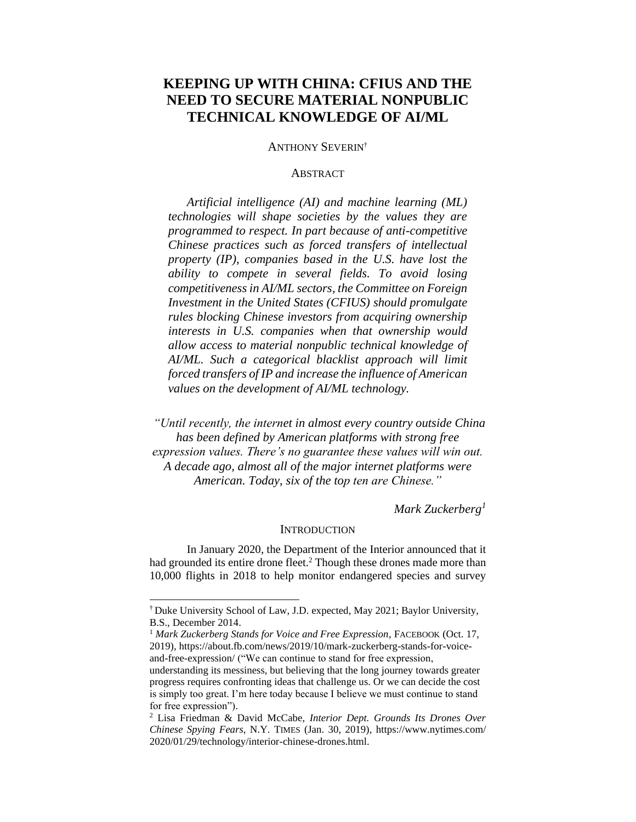# **KEEPING UP WITH CHINA: CFIUS AND THE NEED TO SECURE MATERIAL NONPUBLIC TECHNICAL KNOWLEDGE OF AI/ML**

#### ANTHONY SEVERIN†

## **ABSTRACT**

*Artificial intelligence (AI) and machine learning (ML) technologies will shape societies by the values they are programmed to respect. In part because of anti-competitive Chinese practices such as forced transfers of intellectual property (IP), companies based in the U.S. have lost the ability to compete in several fields. To avoid losing competitiveness in AI/ML sectors, the Committee on Foreign Investment in the United States (CFIUS) should promulgate rules blocking Chinese investors from acquiring ownership interests in U.S. companies when that ownership would allow access to material nonpublic technical knowledge of AI/ML. Such a categorical blacklist approach will limit forced transfers of IP and increase the influence of American values on the development of AI/ML technology.*

*"Until recently, the internet in almost every country outside China has been defined by American platforms with strong free expression values. There's no guarantee these values will win out. A decade ago, almost all of the major internet platforms were American. Today, six of the top ten are Chinese."*

*Mark Zuckerberg<sup>1</sup>*

## <span id="page-0-0"></span>**INTRODUCTION**

In January 2020, the Department of the Interior announced that it had grounded its entire drone fleet.<sup>2</sup> Though these drones made more than 10,000 flights in 2018 to help monitor endangered species and survey

<sup>†</sup> Duke University School of Law, J.D. expected, May 2021; Baylor University, B.S., December 2014.

<sup>&</sup>lt;sup>1</sup> Mark Zuckerberg Stands for Voice and Free Expression, FACEBOOK (Oct. 17, 2019), [https://about.fb.com/news/2019/10/mark-zuckerberg-stands-for-voice](https://about.fb.com/news/2019/10/mark-zuckerberg-stands-for-voice-and-free-expression/)[and-free-expression/](https://about.fb.com/news/2019/10/mark-zuckerberg-stands-for-voice-and-free-expression/) ("We can continue to stand for free expression,

understanding its messiness, but believing that the long journey towards greater progress requires confronting ideas that challenge us. Or we can decide the cost is simply too great. I'm here today because I believe we must continue to stand for free expression").

<sup>2</sup> Lisa Friedman & David McCabe, *Interior Dept. Grounds Its Drones Over Chinese Spying Fears*, N.Y. TIMES (Jan. 30, 2019), [https://www.nytimes.com/](https://www.nytimes.com/%202020/01/29/technology/interior-chinese-drones.html)  [2020/01/29/technology/interior-chinese-drones.html.](https://www.nytimes.com/%202020/01/29/technology/interior-chinese-drones.html)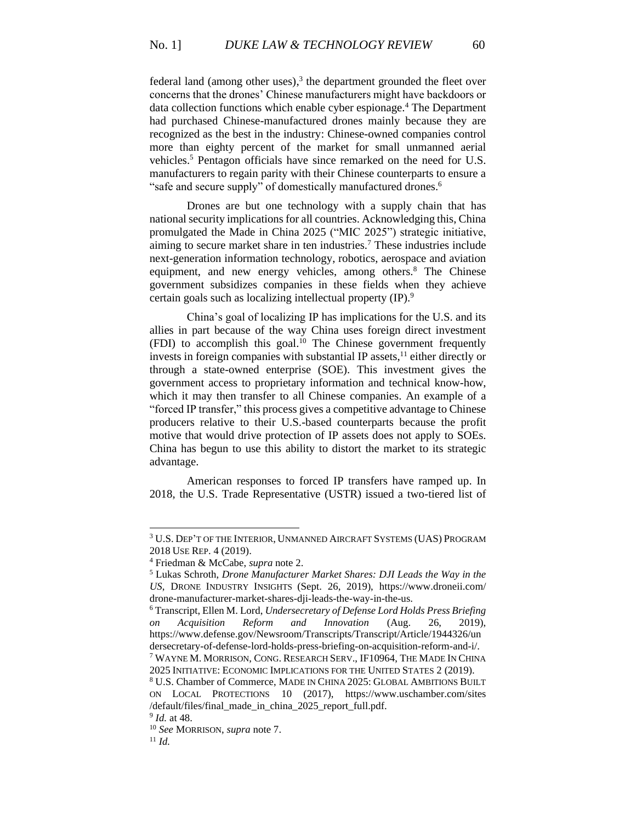federal land (among other uses), $3$  the department grounded the fleet over concerns that the drones' Chinese manufacturers might have backdoors or data collection functions which enable cyber espionage.<sup>4</sup> The Department had purchased Chinese-manufactured drones mainly because they are recognized as the best in the industry: Chinese-owned companies control more than eighty percent of the market for small unmanned aerial vehicles. <sup>5</sup> Pentagon officials have since remarked on the need for U.S. manufacturers to regain parity with their Chinese counterparts to ensure a "safe and secure supply" of domestically manufactured drones.<sup>6</sup>

<span id="page-1-1"></span><span id="page-1-0"></span>Drones are but one technology with a supply chain that has national security implications for all countries. Acknowledging this, China promulgated the Made in China 2025 ("MIC 2025") strategic initiative, aiming to secure market share in ten industries.<sup>7</sup> These industries include next-generation information technology, robotics, aerospace and aviation equipment, and new energy vehicles, among others.<sup>8</sup> The Chinese government subsidizes companies in these fields when they achieve certain goals such as localizing intellectual property (IP).<sup>9</sup>

China's goal of localizing IP has implications for the U.S. and its allies in part because of the way China uses foreign direct investment (FDI) to accomplish this goal.<sup>10</sup> The Chinese government frequently invests in foreign companies with substantial IP assets, <sup>11</sup> either directly or through a state-owned enterprise (SOE). This investment gives the government access to proprietary information and technical know-how, which it may then transfer to all Chinese companies. An example of a "forced IP transfer," this process gives a competitive advantage to Chinese producers relative to their U.S.-based counterparts because the profit motive that would drive protection of IP assets does not apply to SOEs. China has begun to use this ability to distort the market to its strategic advantage.

American responses to forced IP transfers have ramped up. In 2018, the U.S. Trade Representative (USTR) issued a two-tiered list of

<sup>3</sup> U.S. DEP'T OF THE INTERIOR, UNMANNED AIRCRAFT SYSTEMS (UAS) PROGRAM 2018 USE REP. 4 (2019).

<sup>4</sup> Friedman & McCabe, *supra* not[e 2.](#page-0-0)

<sup>5</sup> Lukas Schroth, *Drone Manufacturer Market Shares: DJI Leads the Way in the US*, DRONE INDUSTRY INSIGHTS (Sept. 26, 2019), [https://www.droneii.com/](https://www.droneii.com/%20drone-manufacturer-market-shares-dji-leads-the-way-in-the-us)  [drone-manufacturer-market-shares-dji-leads-the-way-in-the-us.](https://www.droneii.com/%20drone-manufacturer-market-shares-dji-leads-the-way-in-the-us)

<sup>6</sup> Transcript, Ellen M. Lord, *Undersecretary of Defense Lord Holds Press Briefing on Acquisition Reform and Innovation* (Aug. 26, 2019), [https://www.defense.gov/Newsroom/Transcripts/Transcript/Article/1944326/un](https://www.defense.gov/Newsroom/Transcripts/Transcript/Article/1944326/undersecretary-of-defense-lord-holds-press-briefing-on-acquisition-reform-and-i/) [dersecretary-of-defense-lord-holds-press-briefing-on-acquisition-reform-and-i/.](https://www.defense.gov/Newsroom/Transcripts/Transcript/Article/1944326/undersecretary-of-defense-lord-holds-press-briefing-on-acquisition-reform-and-i/) <sup>7</sup> WAYNE M. MORRISON, CONG. RESEARCH SERV., IF10964, THE MADE IN CHINA

<sup>2025</sup> INITIATIVE: ECONOMIC IMPLICATIONS FOR THE UNITED STATES 2 (2019).

<sup>8</sup> U.S. Chamber of Commerce, MADE IN CHINA 2025: GLOBAL AMBITIONS BUILT ON LOCAL PROTECTIONS 10 (2017), [https://www.uschamber.com/sites](https://www.uschamber.com/sites%20/default/files/final_made_in_china_2025_report_full.pdf.)  [/default/files/final\\_made\\_in\\_china\\_2025\\_report\\_full.pdf.](https://www.uschamber.com/sites%20/default/files/final_made_in_china_2025_report_full.pdf.)

<sup>9</sup> *Id.* at 48.

<sup>10</sup> *See* MORRISON, *supra* not[e 7.](#page-1-0)

<sup>11</sup> *Id.*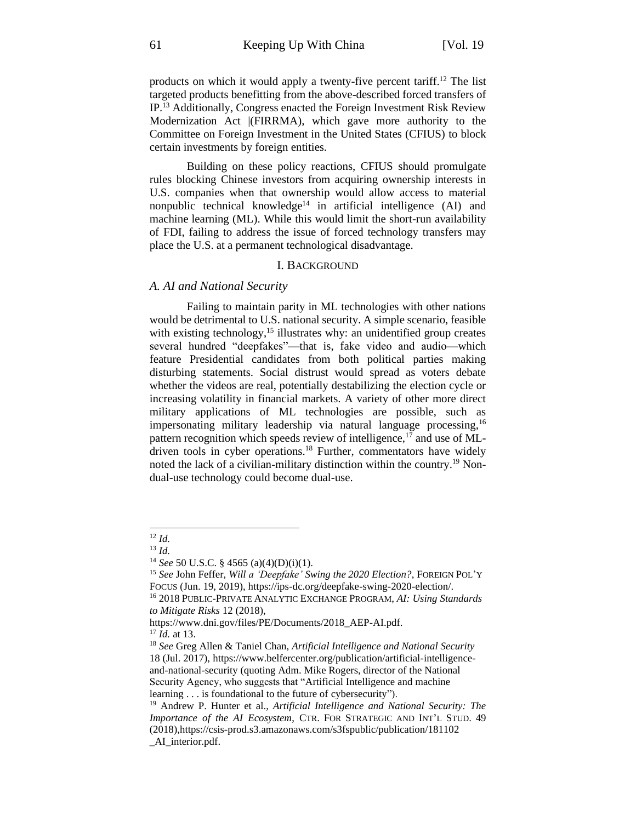products on which it would apply a twenty-five percent tariff.<sup>12</sup> The list targeted products benefitting from the above-described forced transfers of IP.<sup>13</sup> Additionally, Congress enacted the Foreign Investment Risk Review Modernization Act |(FIRRMA), which gave more authority to the Committee on Foreign Investment in the United States (CFIUS) to block certain investments by foreign entities.

Building on these policy reactions, CFIUS should promulgate rules blocking Chinese investors from acquiring ownership interests in U.S. companies when that ownership would allow access to material nonpublic technical knowledge<sup>14</sup> in artificial intelligence  $(AI)$  and machine learning (ML). While this would limit the short-run availability of FDI, failing to address the issue of forced technology transfers may place the U.S. at a permanent technological disadvantage.

## I. BACKGROUND

## *A. AI and National Security*

Failing to maintain parity in ML technologies with other nations would be detrimental to U.S. national security. A simple scenario, feasible with existing technology,<sup>15</sup> illustrates why: an unidentified group creates several hundred "deepfakes"—that is, fake video and audio—which feature Presidential candidates from both political parties making disturbing statements. Social distrust would spread as voters debate whether the videos are real, potentially destabilizing the election cycle or increasing volatility in financial markets. A variety of other more direct military applications of ML technologies are possible, such as impersonating military leadership via natural language processing,<sup>16</sup> pattern recognition which speeds review of intelligence,<sup>17</sup> and use of MLdriven tools in cyber operations.<sup>18</sup> Further, commentators have widely noted the lack of a civilian-military distinction within the country.<sup>19</sup> Nondual-use technology could become dual-use.

<sup>12</sup> *Id.*

<sup>13</sup> *Id.*

<sup>14</sup> *See* 50 U.S.C. § 4565 (a)(4)(D)(i)(1).

<sup>15</sup> *See* John Feffer, *Will a 'Deepfake' Swing the 2020 Election?*, FOREIGN POL'Y FOCUS (Jun. 19, 2019), https://ips-dc.org/deepfake-swing-2020-election/.

<sup>16</sup> 2018 PUBLIC-PRIVATE ANALYTIC EXCHANGE PROGRAM, *AI: Using Standards to Mitigate Risks* 12 (2018),

[https://www.dni.gov/files/PE/Documents/2018\\_AEP-AI.pdf.](https://www.dni.gov/files/PE/Documents/2018_AEP-AI.pdf) <sup>17</sup> *Id.* at 13.

<sup>18</sup> *See* Greg Allen & Taniel Chan, *Artificial Intelligence and National Security* 18 (Jul. 2017), [https://www.belfercenter.org/publication/artificial-intelligence](https://www.belfercenter.org/publication/artificial-intelligence-and-national-security)[and-national-security](https://www.belfercenter.org/publication/artificial-intelligence-and-national-security) (quoting Adm. Mike Rogers, director of the National Security Agency, who suggests that "Artificial Intelligence and machine learning . . . is foundational to the future of cybersecurity").

<sup>19</sup> Andrew P. Hunter et al., *Artificial Intelligence and National Security: The Importance of the AI Ecosystem*, CTR. FOR STRATEGIC AND INT'L STUD. 49 (2018)[,https://csis-prod.s3.amazonaws.com/s3fspublic/publication/181102](https://csis-prod.s3.amazonaws.com/s3fspublic/publication/181102%20_AI_interior.pdf)  [\\_AI\\_interior.pdf.](https://csis-prod.s3.amazonaws.com/s3fspublic/publication/181102%20_AI_interior.pdf)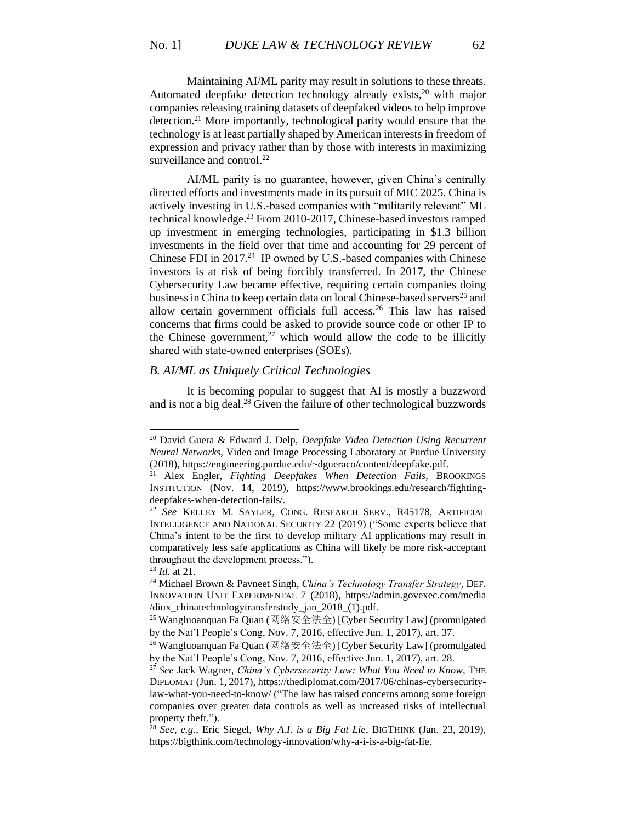Maintaining AI/ML parity may result in solutions to these threats. Automated deepfake detection technology already exists, $20$  with major companies releasing training datasets of deepfaked videos to help improve detection.<sup>21</sup> More importantly, technological parity would ensure that the technology is at least partially shaped by American interests in freedom of expression and privacy rather than by those with interests in maximizing surveillance and control.<sup>22</sup>

AI/ML parity is no guarantee, however, given China's centrally directed efforts and investments made in its pursuit of MIC 2025. China is actively investing in U.S.-based companies with "militarily relevant" ML technical knowledge. <sup>23</sup> From 2010-2017, Chinese-based investors ramped up investment in emerging technologies, participating in \$1.3 billion investments in the field over that time and accounting for 29 percent of Chinese FDI in 2017.<sup>24</sup> IP owned by U.S.-based companies with Chinese investors is at risk of being forcibly transferred. In 2017, the Chinese Cybersecurity Law became effective, requiring certain companies doing business in China to keep certain data on local Chinese-based servers<sup>25</sup> and allow certain government officials full access.<sup>26</sup> This law has raised concerns that firms could be asked to provide source code or other IP to the Chinese government,<sup>27</sup> which would allow the code to be illicitly shared with state-owned enterprises (SOEs).

# *B. AI/ML as Uniquely Critical Technologies*

It is becoming popular to suggest that AI is mostly a buzzword and is not a big deal.<sup>28</sup> Given the failure of other technological buzzwords

<sup>23</sup> *Id.* at 21.

<sup>20</sup> David Guera & Edward J. Delp, *Deepfake Video Detection Using Recurrent Neural Networks*, Video and Image Processing Laboratory at Purdue University (2018)[, https://engineering.purdue.edu/~dgueraco/content/deepfake.pdf.](https://engineering.purdue.edu/~dgueraco/content/deepfake.pdf)

<sup>21</sup> Alex Engler, *Fighting Deepfakes When Detection Fails*, BROOKINGS INSTITUTION (Nov. 14, 2019), [https://www.brookings.edu/research/fighting](https://www.brookings.edu/research/fighting-deepfakes-when-detection-fails/)[deepfakes-when-detection-fails/.](https://www.brookings.edu/research/fighting-deepfakes-when-detection-fails/)

<sup>22</sup> *See* KELLEY M. SAYLER, CONG. RESEARCH SERV., R45178, ARTIFICIAL INTELLIGENCE AND NATIONAL SECURITY 22 (2019) ("Some experts believe that China's intent to be the first to develop military AI applications may result in comparatively less safe applications as China will likely be more risk-acceptant throughout the development process.").

<sup>24</sup> Michael Brown & Pavneet Singh, *China's Technology Transfer Strategy*, DEF. INNOVATION UNIT EXPERIMENTAL 7 (2018), [https://admin.govexec.com/media](https://admin.govexec.com/media%20/diux_chinatechnologytransferstudy_jan_2018_(1).pdf)  [/diux\\_chinatechnologytransferstudy\\_jan\\_2018\\_\(1\).pdf.](https://admin.govexec.com/media%20/diux_chinatechnologytransferstudy_jan_2018_(1).pdf)

<sup>&</sup>lt;sup>25</sup> Wangluoanquan Fa Quan (网络安全法全) [Cyber Security Law] (promulgated by the Nat'l People's Cong, Nov. 7, 2016, effective Jun. 1, 2017), art. 37.

<sup>26</sup> Wangluoanquan Fa Quan (网络安全法全) [Cyber Security Law] (promulgated by the Nat'l People's Cong, Nov. 7, 2016, effective Jun. 1, 2017), art. 28.

<sup>27</sup> *See* Jack Wagner, *China's Cybersecurity Law: What You Need to Know*, THE DIPLOMAT (Jun. 1, 2017)[, https://thediplomat.com/2017/06/chinas-cybersecurity](https://thediplomat.com/2017/06/chinas-cybersecurity-law-what-you-need-to-know/)[law-what-you-need-to-know/](https://thediplomat.com/2017/06/chinas-cybersecurity-law-what-you-need-to-know/) ("The law has raised concerns among some foreign companies over greater data controls as well as increased risks of intellectual property theft.").

<sup>28</sup> *See, e.g.*, Eric Siegel, *Why A.I. is a Big Fat Lie*, BIGTHINK (Jan. 23, 2019), <https://bigthink.com/technology-innovation/why-a-i-is-a-big-fat-lie.>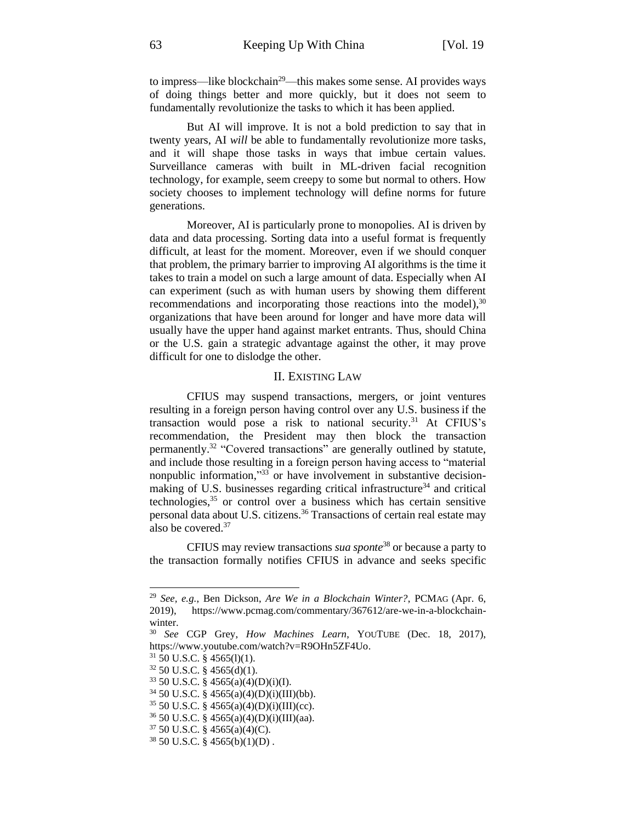to impress—like blockchain<sup>29</sup>—this makes some sense. AI provides ways of doing things better and more quickly, but it does not seem to fundamentally revolutionize the tasks to which it has been applied.

But AI will improve. It is not a bold prediction to say that in twenty years, AI *will* be able to fundamentally revolutionize more tasks, and it will shape those tasks in ways that imbue certain values. Surveillance cameras with built in ML-driven facial recognition technology, for example, seem creepy to some but normal to others. How society chooses to implement technology will define norms for future generations.

Moreover, AI is particularly prone to monopolies. AI is driven by data and data processing. Sorting data into a useful format is frequently difficult, at least for the moment. Moreover, even if we should conquer that problem, the primary barrier to improving AI algorithms is the time it takes to train a model on such a large amount of data. Especially when AI can experiment (such as with human users by showing them different recommendations and incorporating those reactions into the model),<sup>30</sup> organizations that have been around for longer and have more data will usually have the upper hand against market entrants. Thus, should China or the U.S. gain a strategic advantage against the other, it may prove difficult for one to dislodge the other.

# II. EXISTING LAW

CFIUS may suspend transactions, mergers, or joint ventures resulting in a foreign person having control over any U.S. business if the transaction would pose a risk to national security.<sup>31</sup> At CFIUS's recommendation, the President may then block the transaction permanently.<sup>32</sup> "Covered transactions" are generally outlined by statute, and include those resulting in a foreign person having access to "material nonpublic information,"<sup>33</sup> or have involvement in substantive decisionmaking of U.S. businesses regarding critical infrastructure<sup>34</sup> and critical technologies,<sup>35</sup> or control over a business which has certain sensitive personal data about U.S. citizens.<sup>36</sup> Transactions of certain real estate may also be covered.<sup>37</sup>

CFIUS may review transactions *sua sponte*<sup>38</sup> or because a party to the transaction formally notifies CFIUS in advance and seeks specific

<sup>37</sup> 50 U.S.C. § 4565(a)(4)(C).

<sup>29</sup> *See, e.g.*, Ben Dickson, *Are We in a Blockchain Winter?*, PCMAG (Apr. 6, 2019), [https://www.pcmag.com/commentary/367612/are-we-in-a-blockchain](https://www.pcmag.com/commentary/367612/are-we-in-a-blockchain-winter)[winter.](https://www.pcmag.com/commentary/367612/are-we-in-a-blockchain-winter)

<sup>30</sup> *See* CGP Grey, *How Machines Learn*, YOUTUBE (Dec. 18, 2017), [https://www.youtube.com/watch?v=R9OHn5ZF4Uo.](https://www.youtube.com/watch?v=R9OHn5ZF4Uo)

 $31$  50 U.S.C. § 4565(1)(1).

 $32$  50 U.S.C. § 4565(d)(1).

<sup>33</sup> 50 U.S.C. § 4565(a)(4)(D)(i)(I).

<sup>34</sup> 50 U.S.C. § 4565(a)(4)(D)(i)(III)(bb).

 $35$  50 U.S.C. § 4565(a)(4)(D)(i)(III)(cc).

 $36\,50\,$  U.S.C. §  $4565(a)(4)(D)(i)(III)(aa)$ .

<sup>38</sup> 50 U.S.C. § 4565(b)(1)(D) .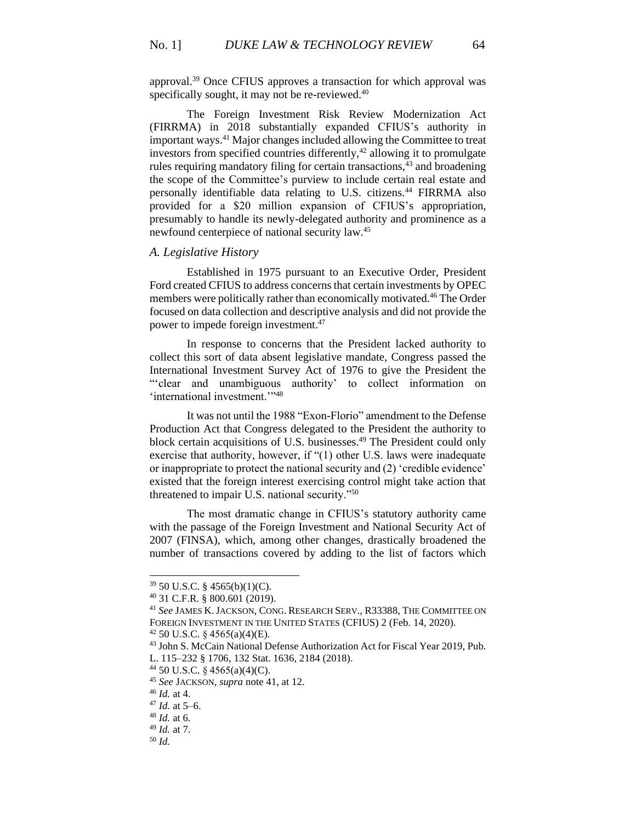approval.<sup>39</sup> Once CFIUS approves a transaction for which approval was specifically sought, it may not be re-reviewed.<sup>40</sup>

<span id="page-5-0"></span>The Foreign Investment Risk Review Modernization Act (FIRRMA) in 2018 substantially expanded CFIUS's authority in important ways.<sup>41</sup> Major changes included allowing the Committee to treat investors from specified countries differently,<sup>42</sup> allowing it to promulgate rules requiring mandatory filing for certain transactions, $43$  and broadening the scope of the Committee's purview to include certain real estate and personally identifiable data relating to U.S. citizens.<sup>44</sup> FIRRMA also provided for a \$20 million expansion of CFIUS's appropriation, presumably to handle its newly-delegated authority and prominence as a newfound centerpiece of national security law.<sup>45</sup>

## *A. Legislative History*

Established in 1975 pursuant to an Executive Order, President Ford created CFIUS to address concerns that certain investments by OPEC members were politically rather than economically motivated.<sup>46</sup> The Order focused on data collection and descriptive analysis and did not provide the power to impede foreign investment.<sup>47</sup>

In response to concerns that the President lacked authority to collect this sort of data absent legislative mandate, Congress passed the International Investment Survey Act of 1976 to give the President the ""clear and unambiguous authority' to collect information on 'international investment.'"<sup>48</sup>

It was not until the 1988 "Exon-Florio" amendment to the Defense Production Act that Congress delegated to the President the authority to block certain acquisitions of U.S. businesses.<sup>49</sup> The President could only exercise that authority, however, if "(1) other U.S. laws were inadequate or inappropriate to protect the national security and (2) 'credible evidence' existed that the foreign interest exercising control might take action that threatened to impair U.S. national security."<sup>50</sup>

The most dramatic change in CFIUS's statutory authority came with the passage of the Foreign Investment and National Security Act of 2007 (FINSA), which, among other changes, drastically broadened the number of transactions covered by adding to the list of factors which

 $42$  50 U.S.C. § 4565(a)(4)(E).

<sup>39</sup> 50 U.S.C. § 4565(b)(1)(C).

<sup>40</sup> 31 C.F.R. § 800.601 (2019).

<sup>41</sup> *See* JAMES K.JACKSON, CONG. RESEARCH SERV., R33388, THE COMMITTEE ON FOREIGN INVESTMENT IN THE UNITED STATES (CFIUS) 2 (Feb. 14, 2020).

<sup>43</sup> John S. McCain National Defense Authorization Act for Fiscal Year 2019, Pub. L. 115–232 § 1706, 132 Stat. 1636, 2184 (2018).

 $44$  50 U.S.C. § 4565(a)(4)(C).

<sup>45</sup> *See* JACKSON, *supra* note [41,](#page-5-0) at 12.

<sup>46</sup> *Id.* at 4.

<sup>47</sup> *Id.* at 5–6.

<sup>48</sup> *Id.* at 6.

<sup>49</sup> *Id.* at 7.

<sup>50</sup> *Id.*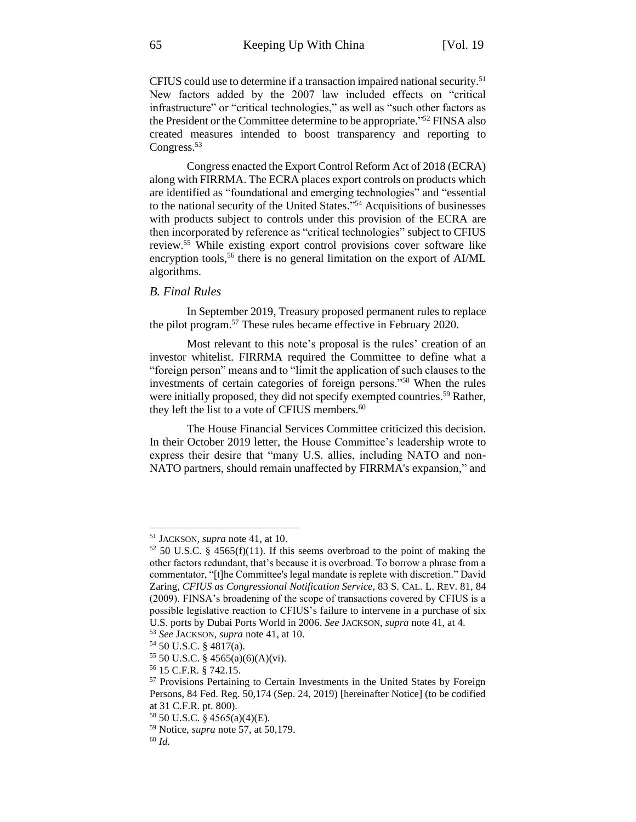CFIUS could use to determine if a transaction impaired national security.<sup>51</sup> New factors added by the 2007 law included effects on "critical infrastructure" or "critical technologies," as well as "such other factors as the President or the Committee determine to be appropriate." <sup>52</sup> FINSA also created measures intended to boost transparency and reporting to Congress.<sup>53</sup>

Congress enacted the Export Control Reform Act of 2018 (ECRA) along with FIRRMA. The ECRA places export controls on products which are identified as "foundational and emerging technologies" and "essential to the national security of the United States." <sup>54</sup> Acquisitions of businesses with products subject to controls under this provision of the ECRA are then incorporated by reference as "critical technologies" subject to CFIUS review.<sup>55</sup> While existing export control provisions cover software like encryption tools,<sup>56</sup> there is no general limitation on the export of AI/ML algorithms.

## *B. Final Rules*

<span id="page-6-0"></span>In September 2019, Treasury proposed permanent rules to replace the pilot program.<sup>57</sup> These rules became effective in February 2020.

Most relevant to this note's proposal is the rules' creation of an investor whitelist. FIRRMA required the Committee to define what a "foreign person" means and to "limit the application of such clauses to the investments of certain categories of foreign persons."<sup>58</sup> When the rules were initially proposed, they did not specify exempted countries.<sup>59</sup> Rather, they left the list to a vote of CFIUS members.<sup>60</sup>

The House Financial Services Committee criticized this decision. In their October 2019 letter, the House Committee's leadership wrote to express their desire that "many U.S. allies, including NATO and non-NATO partners, should remain unaffected by FIRRMA's expansion," and

<sup>51</sup> JACKSON*, supra* note [41,](#page-5-0) at 10.

 $52$  50 U.S.C. § 4565(f)(11). If this seems overbroad to the point of making the other factors redundant, that's because it is overbroad. To borrow a phrase from a commentator, "[t]he Committee's legal mandate is replete with discretion." David Zaring, *CFIUS as Congressional Notification Service*, 83 S. CAL. L. REV. 81, 84 (2009). FINSA's broadening of the scope of transactions covered by CFIUS is a possible legislative reaction to CFIUS's failure to intervene in a purchase of six U.S. ports by Dubai Ports World in 2006. *See* JACKSON, *supra* note [41,](#page-5-0) at 4.

<sup>53</sup> *See* JACKSON, *supra* note [41,](#page-5-0) at 10.

<sup>54</sup> 50 U.S.C. § 4817(a).

<sup>55</sup> 50 U.S.C. § 4565(a)(6)(A)(vi).

<sup>56</sup> 15 C.F.R. § 742.15.

<sup>57</sup> Provisions Pertaining to Certain Investments in the United States by Foreign Persons, 84 Fed. Reg. 50,174 (Sep. 24, 2019) [hereinafter Notice] (to be codified at 31 C.F.R. pt. 800).

<sup>58</sup> 50 U.S.C. § 4565(a)(4)(E).

<sup>59</sup> Notice, *supra* not[e 57,](#page-6-0) at 50,179.

<sup>60</sup> *Id.*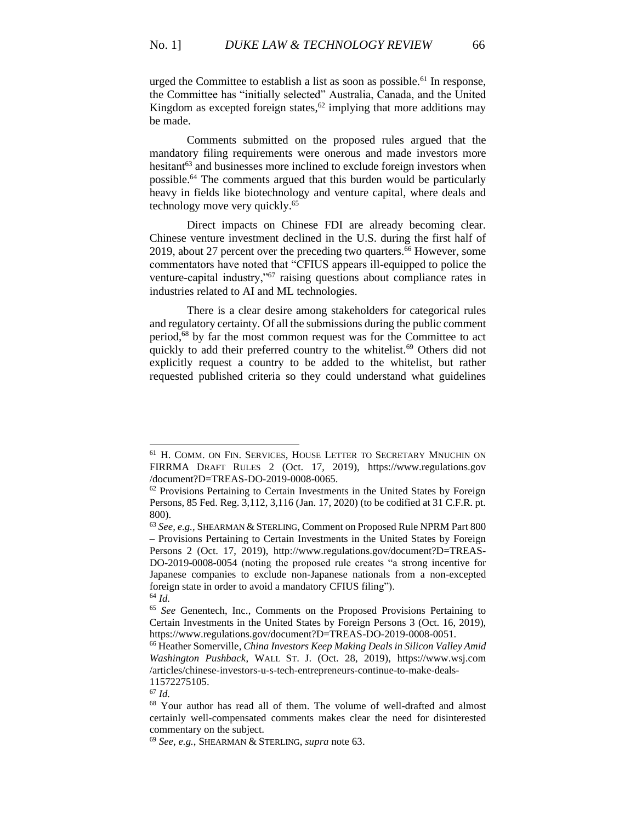<span id="page-7-1"></span>urged the Committee to establish a list as soon as possible.<sup>61</sup> In response, the Committee has "initially selected" Australia, Canada, and the United Kingdom as excepted foreign states, $62$  implying that more additions may be made.

<span id="page-7-0"></span>Comments submitted on the proposed rules argued that the mandatory filing requirements were onerous and made investors more hesitant<sup>63</sup> and businesses more inclined to exclude foreign investors when possible. <sup>64</sup> The comments argued that this burden would be particularly heavy in fields like biotechnology and venture capital, where deals and technology move very quickly.<sup>65</sup>

Direct impacts on Chinese FDI are already becoming clear. Chinese venture investment declined in the U.S. during the first half of 2019, about 27 percent over the preceding two quarters. <sup>66</sup> However, some commentators have noted that "CFIUS appears ill-equipped to police the venture-capital industry,"<sup>67</sup> raising questions about compliance rates in industries related to AI and ML technologies.

There is a clear desire among stakeholders for categorical rules and regulatory certainty. Of all the submissions during the public comment period,<sup>68</sup> by far the most common request was for the Committee to act quickly to add their preferred country to the whitelist.<sup>69</sup> Others did not explicitly request a country to be added to the whitelist, but rather requested published criteria so they could understand what guidelines

<sup>67</sup> *Id.*

<sup>61</sup> H. COMM. ON FIN. SERVICES, HOUSE LETTER TO SECRETARY MNUCHIN ON FIRRMA DRAFT RULES 2 (Oct. 17, 2019), [https://www.regulations.gov](https://www.regulations.gov/) /document?D=TREAS-DO-2019-0008-0065.

<sup>&</sup>lt;sup>62</sup> Provisions Pertaining to Certain Investments in the United States by Foreign Persons, 85 Fed. Reg. 3,112, 3,116 (Jan. 17, 2020) (to be codified at 31 C.F.R. pt. 800).

<sup>63</sup> *See, e.g.*, SHEARMAN & STERLING, Comment on Proposed Rule NPRM Part 800 – Provisions Pertaining to Certain Investments in the United States by Foreign Persons 2 (Oct. 17, 2019), http://www.regulations.gov/document?D=TREAS-DO-2019-0008-0054 (noting the proposed rule creates "a strong incentive for Japanese companies to exclude non-Japanese nationals from a non-excepted foreign state in order to avoid a mandatory CFIUS filing"). <sup>64</sup> *Id.*

<sup>65</sup> *See* Genentech, Inc., Comments on the Proposed Provisions Pertaining to Certain Investments in the United States by Foreign Persons 3 (Oct. 16, 2019), https://www.regulations.gov/document?D=TREAS-DO-2019-0008-0051.

<sup>66</sup> Heather Somerville, *China Investors Keep Making Deals in Silicon Valley Amid Washington Pushback*, WALL ST. J. (Oct. 28, 2019), [https://www.wsj.com](https://www.wsj.com/) /articles/chinese-investors-u-s-tech-entrepreneurs-continue-to-make-deals-11572275105.

<sup>68</sup> Your author has read all of them. The volume of well-drafted and almost certainly well-compensated comments makes clear the need for disinterested commentary on the subject.

<sup>69</sup> *See, e.g.*, SHEARMAN & STERLING, *supra* note [63.](#page-7-0)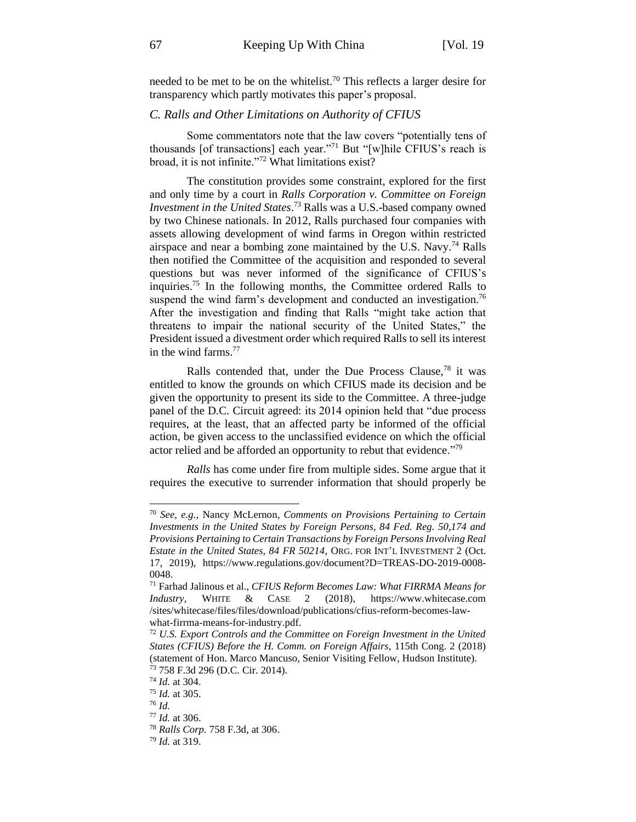needed to be met to be on the whitelist.<sup>70</sup> This reflects a larger desire for transparency which partly motivates this paper's proposal.

# *C. Ralls and Other Limitations on Authority of CFIUS*

<span id="page-8-0"></span>Some commentators note that the law covers "potentially tens of thousands [of transactions] each year."<sup>71</sup> But "[w]hile CFIUS's reach is broad, it is not infinite."<sup>72</sup> What limitations exist?

<span id="page-8-1"></span>The constitution provides some constraint, explored for the first and only time by a court in *Ralls Corporation v. Committee on Foreign Investment in the United States*. <sup>73</sup> Ralls was a U.S.-based company owned by two Chinese nationals. In 2012, Ralls purchased four companies with assets allowing development of wind farms in Oregon within restricted airspace and near a bombing zone maintained by the U.S. Navy.<sup>74</sup> Ralls then notified the Committee of the acquisition and responded to several questions but was never informed of the significance of CFIUS's inquiries. <sup>75</sup> In the following months, the Committee ordered Ralls to suspend the wind farm's development and conducted an investigation.<sup>76</sup> After the investigation and finding that Ralls "might take action that threatens to impair the national security of the United States," the President issued a divestment order which required Ralls to sell its interest in the wind farms.<sup>77</sup>

Ralls contended that, under the Due Process Clause,<sup>78</sup> it was entitled to know the grounds on which CFIUS made its decision and be given the opportunity to present its side to the Committee. A three-judge panel of the D.C. Circuit agreed: its 2014 opinion held that "due process requires, at the least, that an affected party be informed of the official action, be given access to the unclassified evidence on which the official actor relied and be afforded an opportunity to rebut that evidence."<sup>79</sup>

*Ralls* has come under fire from multiple sides. Some argue that it requires the executive to surrender information that should properly be

<sup>70</sup> *See, e.g.*, Nancy McLernon, *Comments on Provisions Pertaining to Certain Investments in the United States by Foreign Persons, 84 Fed. Reg. 50,174 and Provisions Pertaining to Certain Transactions by Foreign Persons Involving Real Estate in the United States, 84 FR 50214*, ORG. FOR INT'L INVESTMENT 2 (Oct. 17, 2019), https://www.regulations.gov/document?D=TREAS-DO-2019-0008- 0048.

<sup>71</sup> Farhad Jalinous et al., *CFIUS Reform Becomes Law: What FIRRMA Means for Industry*, WHITE & CASE 2 (2018), [https://www.whitecase.com](https://www.whitecase.com/) /sites/whitecase/files/files/download/publications/cfius-reform-becomes-lawwhat-firrma-means-for-industry.pdf.

<sup>72</sup> *U.S. Export Controls and the Committee on Foreign Investment in the United States (CFIUS) Before the H. Comm. on Foreign Affairs*, 115th Cong. 2 (2018) (statement of Hon. Marco Mancuso, Senior Visiting Fellow, Hudson Institute). <sup>73</sup> 758 F.3d 296 (D.C. Cir. 2014).

<sup>74</sup> *Id.* at 304.

<sup>75</sup> *Id.* at 305.

<sup>76</sup> *Id.*

<sup>77</sup> *Id.* at 306.

<sup>78</sup> *Ralls Corp.* 758 F.3d, at 306.

<sup>79</sup> *Id.* at 319.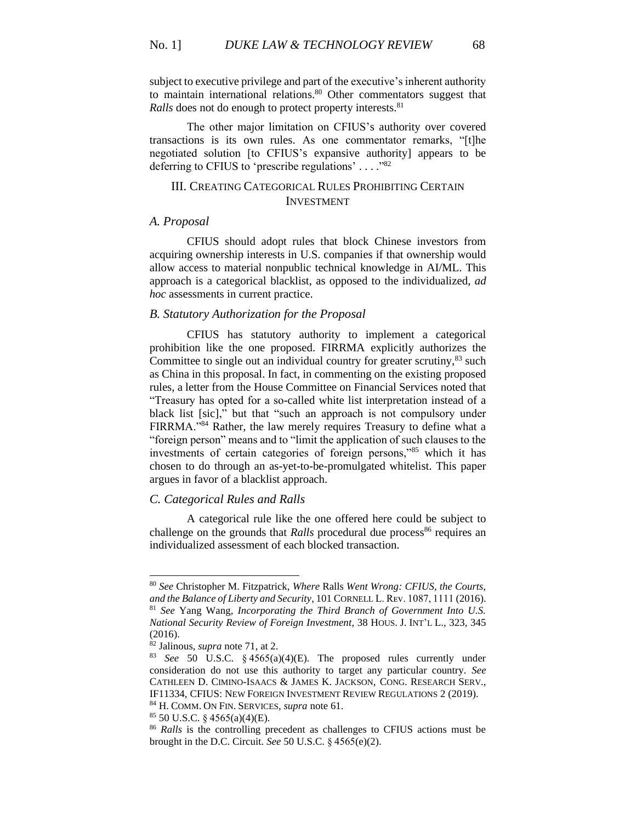<span id="page-9-0"></span>subject to executive privilege and part of the executive's inherent authority to maintain international relations. $80$  Other commentators suggest that *Ralls* does not do enough to protect property interests.<sup>81</sup>

The other major limitation on CFIUS's authority over covered transactions is its own rules. As one commentator remarks, "[t]he negotiated solution [to CFIUS's expansive authority] appears to be deferring to CFIUS to 'prescribe regulations' ...."82

## <span id="page-9-1"></span>III. CREATING CATEGORICAL RULES PROHIBITING CERTAIN INVESTMENT

## *A. Proposal*

CFIUS should adopt rules that block Chinese investors from acquiring ownership interests in U.S. companies if that ownership would allow access to material nonpublic technical knowledge in AI/ML. This approach is a categorical blacklist, as opposed to the individualized, *ad hoc* assessments in current practice.

### *B. Statutory Authorization for the Proposal*

CFIUS has statutory authority to implement a categorical prohibition like the one proposed. FIRRMA explicitly authorizes the Committee to single out an individual country for greater scrutiny, $83$  such as China in this proposal. In fact, in commenting on the existing proposed rules, a letter from the House Committee on Financial Services noted that "Treasury has opted for a so-called white list interpretation instead of a black list [sic]," but that "such an approach is not compulsory under FIRRMA."<sup>84</sup> Rather, the law merely requires Treasury to define what a "foreign person" means and to "limit the application of such clauses to the investments of certain categories of foreign persons,"<sup>85</sup> which it has chosen to do through an as-yet-to-be-promulgated whitelist. This paper argues in favor of a blacklist approach.

## *C. Categorical Rules and Ralls*

A categorical rule like the one offered here could be subject to challenge on the grounds that *Ralls* procedural due process<sup>86</sup> requires an individualized assessment of each blocked transaction.

<sup>80</sup> *See* Christopher M. Fitzpatrick, *Where* Ralls *Went Wrong: CFIUS, the Courts,*  and the Balance of Liberty and Security, 101 CORNELL L. REV. 1087, 1111 (2016). <sup>81</sup> *See* Yang Wang, *Incorporating the Third Branch of Government Into U.S. National Security Review of Foreign Investment*, 38 HOUS. J. INT'L L., 323, 345 (2016).

<sup>82</sup> Jalinous, *supra* note [71,](#page-8-0) at 2.

<sup>83</sup> *See* 50 U.S.C. § 4565(a)(4)(E). The proposed rules currently under consideration do not use this authority to target any particular country. *See*  CATHLEEN D. CIMINO-ISAACS & JAMES K. JACKSON, CONG. RESEARCH SERV., IF11334, CFIUS: NEW FOREIGN INVESTMENT REVIEW REGULATIONS 2 (2019).

<sup>84</sup> H. COMM. ON FIN. SERVICES, *supra* note [61.](#page-7-1)

 $85$  50 U.S.C. § 4565(a)(4)(E).

<sup>&</sup>lt;sup>86</sup> Ralls is the controlling precedent as challenges to CFIUS actions must be brought in the D.C. Circuit. *See* 50 U.S.C. § 4565(e)(2).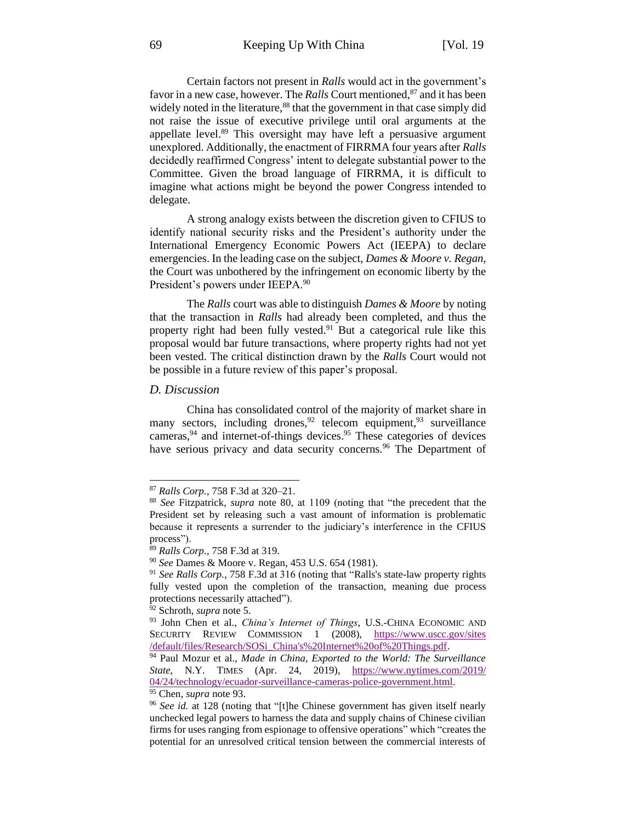Certain factors not present in *Ralls* would act in the government's favor in a new case, however. The *Ralls* Court mentioned, <sup>87</sup> and it has been widely noted in the literature,<sup>88</sup> that the government in that case simply did not raise the issue of executive privilege until oral arguments at the appellate level.<sup>89</sup> This oversight may have left a persuasive argument unexplored. Additionally, the enactment of FIRRMA four years after *Ralls*  decidedly reaffirmed Congress' intent to delegate substantial power to the Committee. Given the broad language of FIRRMA, it is difficult to imagine what actions might be beyond the power Congress intended to delegate.

A strong analogy exists between the discretion given to CFIUS to identify national security risks and the President's authority under the International Emergency Economic Powers Act (IEEPA) to declare emergencies. In the leading case on the subject, *Dames & Moore v. Regan*, the Court was unbothered by the infringement on economic liberty by the President's powers under IEEPA.<sup>90</sup>

The *Ralls* court was able to distinguish *Dames & Moore* by noting that the transaction in *Ralls* had already been completed, and thus the property right had been fully vested.<sup>91</sup> But a categorical rule like this proposal would bar future transactions, where property rights had not yet been vested. The critical distinction drawn by the *Ralls* Court would not be possible in a future review of this paper's proposal.

## *D. Discussion*

<span id="page-10-1"></span><span id="page-10-0"></span>China has consolidated control of the majority of market share in many sectors, including drones,  $92$  telecom equipment,  $93$  surveillance cameras,<sup>94</sup> and internet-of-things devices.<sup>95</sup> These categories of devices have serious privacy and data security concerns.<sup>96</sup> The Department of

<sup>87</sup> *Ralls Corp.,* 758 F.3d at 320–21.

<sup>88</sup> *See* Fitzpatrick, *supra* note [80,](#page-9-0) at 1109 (noting that "the precedent that the President set by releasing such a vast amount of information is problematic because it represents a surrender to the judiciary's interference in the CFIUS process").

<sup>89</sup> *Ralls Corp*., 758 F.3d at 319.

<sup>90</sup> *See* Dames & Moore v. Regan, 453 U.S. 654 (1981).

<sup>91</sup> *See Ralls Corp.*, 758 F.3d at 316 (noting that "Ralls's state-law property rights fully vested upon the completion of the transaction, meaning due process protections necessarily attached").

<sup>92</sup> Schroth, *supra* note [5.](#page-1-1)

<sup>93</sup> John Chen et al., *China's Internet of Things*, U.S.-CHINA ECONOMIC AND SECURITY REVIEW COMMISSION 1 (2008), [https://www.uscc.gov/sites](https://www.uscc.gov/sites/default/files/Research/SOSi_China) [/default/files/Research/SOSi\\_China's%20Internet%20of%20Things.pdf.](https://www.uscc.gov/sites/default/files/Research/SOSi_China)

<sup>94</sup> Paul Mozur et al., *Made in China, Exported to the World: The Surveillance State*, N.Y. TIMES (Apr. 24, 2019), [https://www.nytimes.com/2019/](https://www.nytimes.com/2019/04/24/technology/ecuador-surveillance-cameras-police-government.html) [04/24/technology/ecuador-surveillance-cameras-police-government.html.](https://www.nytimes.com/2019/04/24/technology/ecuador-surveillance-cameras-police-government.html) <sup>95</sup> Chen, *supra* note [93.](#page-10-0)

<sup>&</sup>lt;sup>96</sup> See id. at 128 (noting that "[t]he Chinese government has given itself nearly unchecked legal powers to harness the data and supply chains of Chinese civilian firms for uses ranging from espionage to offensive operations" which "creates the potential for an unresolved critical tension between the commercial interests of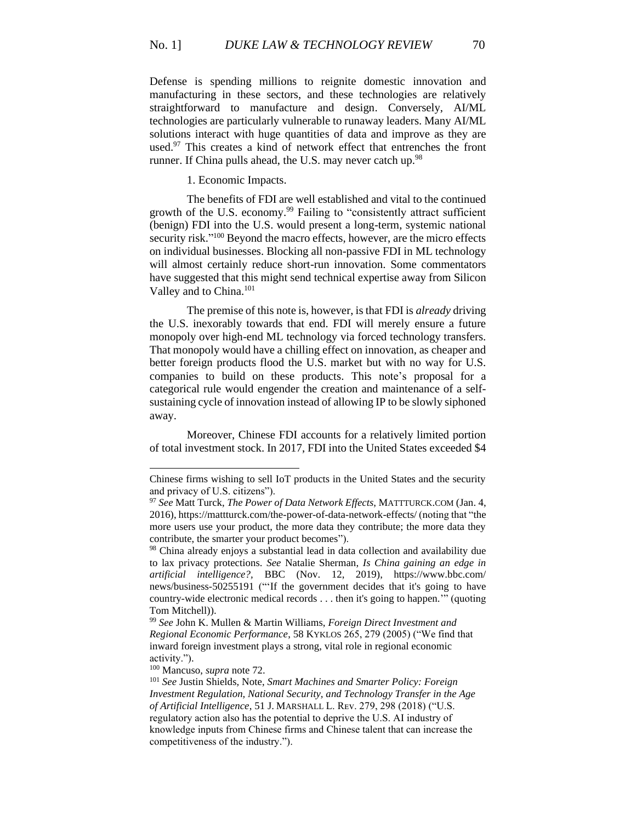Defense is spending millions to reignite domestic innovation and manufacturing in these sectors, and these technologies are relatively straightforward to manufacture and design. Conversely, AI/ML technologies are particularly vulnerable to runaway leaders. Many AI/ML solutions interact with huge quantities of data and improve as they are used.<sup>97</sup> This creates a kind of network effect that entrenches the front runner. If China pulls ahead, the U.S. may never catch up.<sup>98</sup>

1. Economic Impacts.

The benefits of FDI are well established and vital to the continued growth of the U.S. economy.<sup>99</sup> Failing to "consistently attract sufficient (benign) FDI into the U.S. would present a long-term, systemic national security risk."<sup>100</sup> Beyond the macro effects, however, are the micro effects on individual businesses. Blocking all non-passive FDI in ML technology will almost certainly reduce short-run innovation. Some commentators have suggested that this might send technical expertise away from Silicon Valley and to China.<sup>101</sup>

<span id="page-11-0"></span>The premise of this note is, however, is that FDI is *already* driving the U.S. inexorably towards that end. FDI will merely ensure a future monopoly over high-end ML technology via forced technology transfers. That monopoly would have a chilling effect on innovation, as cheaper and better foreign products flood the U.S. market but with no way for U.S. companies to build on these products. This note's proposal for a categorical rule would engender the creation and maintenance of a selfsustaining cycle of innovation instead of allowing IP to be slowly siphoned away.

Moreover, Chinese FDI accounts for a relatively limited portion of total investment stock. In 2017, FDI into the United States exceeded \$4

Chinese firms wishing to sell IoT products in the United States and the security and privacy of U.S. citizens").

<sup>97</sup> *See* Matt Turck, *The Power of Data Network Effects*, MATTTURCK.COM (Jan. 4, 2016),<https://mattturck.com/the-power-of-data-network-effects/> (noting that "the more users use your product, the more data they contribute; the more data they contribute, the smarter your product becomes").

<sup>98</sup> China already enjoys a substantial lead in data collection and availability due to lax privacy protections. *See* Natalie Sherman, *Is China gaining an edge in artificial intelligence?,* BBC (Nov. 12, 2019), [https://www.bbc.com/](https://www.bbc.com/news/business-50255191)  [news/business-50255191](https://www.bbc.com/news/business-50255191) ("'If the government decides that it's going to have country-wide electronic medical records . . . then it's going to happen.'" (quoting Tom Mitchell)).

<sup>99</sup> *See* John K. Mullen & Martin Williams, *Foreign Direct Investment and Regional Economic Performance*, 58 KYKLOS 265, 279 (2005) ("We find that inward foreign investment plays a strong, vital role in regional economic activity.").

<sup>100</sup> Mancuso, *supra* note [72.](#page-8-1)

<sup>101</sup> *See* Justin Shields*,* Note, *Smart Machines and Smarter Policy: Foreign Investment Regulation, National Security, and Technology Transfer in the Age of Artificial Intelligence*, 51 J. MARSHALL L. Rᴇᴠ. 279, 298 (2018) ("U.S. regulatory action also has the potential to deprive the U.S. AI industry of knowledge inputs from Chinese firms and Chinese talent that can increase the competitiveness of the industry.").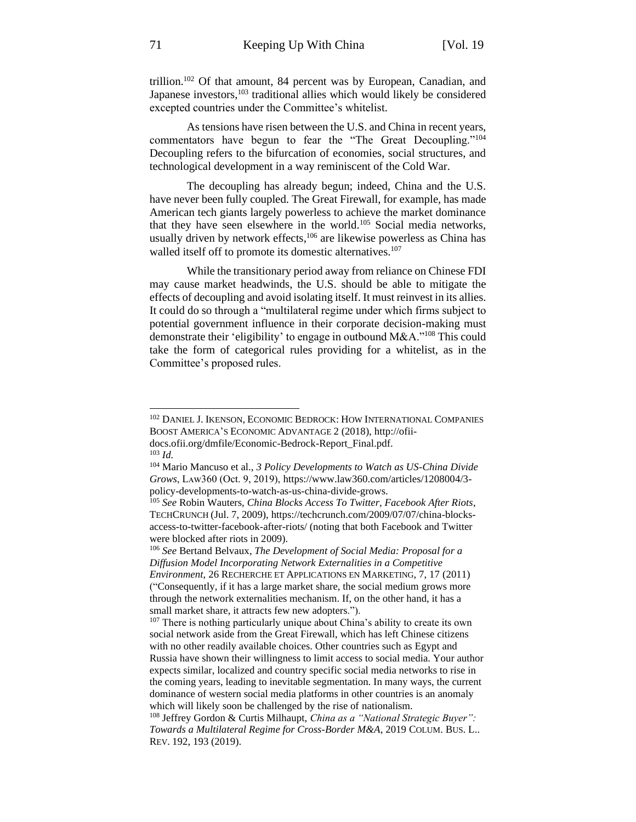trillion.<sup>102</sup> Of that amount, 84 percent was by European, Canadian, and Japanese investors,<sup>103</sup> traditional allies which would likely be considered excepted countries under the Committee's whitelist.

As tensions have risen between the U.S. and China in recent years, commentators have begun to fear the "The Great Decoupling."<sup>104</sup> Decoupling refers to the bifurcation of economies, social structures, and technological development in a way reminiscent of the Cold War.

The decoupling has already begun; indeed, China and the U.S. have never been fully coupled. The Great Firewall, for example, has made American tech giants largely powerless to achieve the market dominance that they have seen elsewhere in the world.<sup>105</sup> Social media networks, usually driven by network effects, <sup>106</sup> are likewise powerless as China has walled itself off to promote its domestic alternatives.<sup>107</sup>

While the transitionary period away from reliance on Chinese FDI may cause market headwinds, the U.S. should be able to mitigate the effects of decoupling and avoid isolating itself. It must reinvest in its allies. It could do so through a "multilateral regime under which firms subject to potential government influence in their corporate decision-making must demonstrate their 'eligibility' to engage in outbound M&A."<sup>108</sup> This could take the form of categorical rules providing for a whitelist, as in the Committee's proposed rules.

<sup>102</sup> DANIEL J. IKENSON, ECONOMIC BEDROCK: HOW INTERNATIONAL COMPANIES BOOST AMERICA'S ECONOMIC ADVANTAGE 2 (2018), [http://ofii](http://ofii-docs.ofii.org/dmfile/Economic-Bedrock-Report_Final.pdf)[docs.ofii.org/dmfile/Economic-Bedrock-Report\\_Final.pdf.](http://ofii-docs.ofii.org/dmfile/Economic-Bedrock-Report_Final.pdf) <sup>103</sup> *Id.*

<sup>104</sup> Mario Mancuso et al., *3 Policy Developments to Watch as US-China Divide Grows*, Lᴀᴡ360 (Oct. 9, 2019)[, https://www.law360.com/articles/1208004/3](https://www.law360.com/articles/1208004/3-policy-developments-to-watch-as-us-china-divide-grows) [policy-developments-to-watch-as-us-china-divide-grows.](https://www.law360.com/articles/1208004/3-policy-developments-to-watch-as-us-china-divide-grows)

<sup>105</sup> *See* Robin Wauters, *China Blocks Access To Twitter, Facebook After Riots*, TECHCRUNCH (Jul. 7, 2009), [https://techcrunch.com/2009/07/07/china-blocks](https://techcrunch.com/2009/07/07/china-blocks-access-to-twitter-facebook-after-riots/)[access-to-twitter-facebook-after-riots/](https://techcrunch.com/2009/07/07/china-blocks-access-to-twitter-facebook-after-riots/) (noting that both Facebook and Twitter were blocked after riots in 2009).

<sup>106</sup> *See* Bertand Belvaux, *The Development of Social Media: Proposal for a Diffusion Model Incorporating Network Externalities in a Competitive Environment*, 26 RECHERCHE ET APPLICATIONS EN MARKETING, 7, 17 (2011) ("Consequently, if it has a large market share, the social medium grows more through the network externalities mechanism. If, on the other hand, it has a small market share, it attracts few new adopters.").

<sup>&</sup>lt;sup>107</sup> There is nothing particularly unique about China's ability to create its own social network aside from the Great Firewall, which has left Chinese citizens with no other readily available choices. Other countries such as Egypt and Russia have shown their willingness to limit access to social media. Your author expects similar, localized and country specific social media networks to rise in the coming years, leading to inevitable segmentation. In many ways, the current dominance of western social media platforms in other countries is an anomaly which will likely soon be challenged by the rise of nationalism.

<sup>108</sup> Jeffrey Gordon & Curtis Milhaupt, *China as a "National Strategic Buyer": Towards a Multilateral Regime for Cross-Border M&A*, 2019 COLUM. BUS. L.. REV. 192, 193 (2019).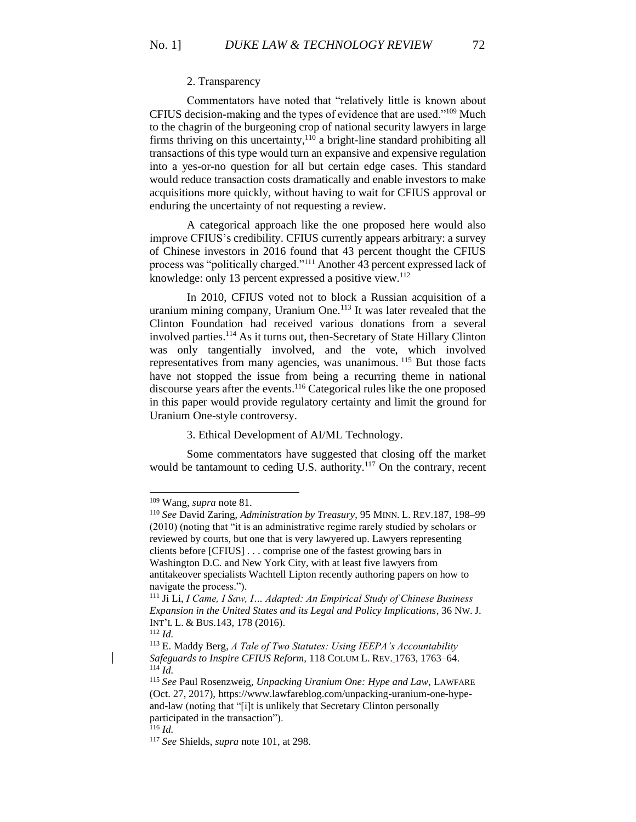#### 2. Transparency

Commentators have noted that "relatively little is known about CFIUS decision-making and the types of evidence that are used."<sup>109</sup> Much to the chagrin of the burgeoning crop of national security lawyers in large firms thriving on this uncertainty, $110$  a bright-line standard prohibiting all transactions of this type would turn an expansive and expensive regulation into a yes-or-no question for all but certain edge cases. This standard would reduce transaction costs dramatically and enable investors to make acquisitions more quickly, without having to wait for CFIUS approval or enduring the uncertainty of not requesting a review.

A categorical approach like the one proposed here would also improve CFIUS's credibility. CFIUS currently appears arbitrary: a survey of Chinese investors in 2016 found that 43 percent thought the CFIUS process was "politically charged."<sup>111</sup> Another 43 percent expressed lack of knowledge: only 13 percent expressed a positive view.<sup>112</sup>

In 2010, CFIUS voted not to block a Russian acquisition of a uranium mining company, Uranium One.<sup>113</sup> It was later revealed that the Clinton Foundation had received various donations from a several involved parties.<sup>114</sup> As it turns out, then-Secretary of State Hillary Clinton was only tangentially involved, and the vote, which involved representatives from many agencies, was unanimous. <sup>115</sup> But those facts have not stopped the issue from being a recurring theme in national discourse years after the events.<sup>116</sup> Categorical rules like the one proposed in this paper would provide regulatory certainty and limit the ground for Uranium One-style controversy.

3. Ethical Development of AI/ML Technology.

Some commentators have suggested that closing off the market would be tantamount to ceding U.S. authority.<sup>117</sup> On the contrary, recent

<sup>109</sup> Wang, *supra* note [81.](#page-9-1)

<sup>110</sup> *See* David Zaring, *Administration by Treasury*, 95 MINN. L. REV.187, 198–99 (2010) (noting that "it is an administrative regime rarely studied by scholars or reviewed by courts, but one that is very lawyered up. Lawyers representing clients before [CFIUS] . . . comprise one of the fastest growing bars in Washington D.C. and New York City, with at least five lawyers from antitakeover specialists Wachtell Lipton recently authoring papers on how to navigate the process.").

<sup>111</sup> Ji Li, *I Came, I Saw, I… Adapted: An Empirical Study of Chinese Business Expansion in the United States and its Legal and Policy Implications*, 36 NW. J. INT'L L. & BUS.143, 178 (2016).

<sup>112</sup> *Id.*

<sup>113</sup> E. Maddy Berg, *A Tale of Two Statutes: Using IEEPA's Accountability Safeguards to Inspire CFIUS Reform,* 118 COLUM L. REV. 1763, 1763–64. <sup>114</sup> *Id.*

<sup>115</sup> *See* Paul Rosenzweig, *Unpacking Uranium One: Hype and Law*, LAWFARE (Oct. 27, 2017), [https://www.lawfareblog.com/unpacking-uranium-one-hype](https://www.lawfareblog.com/unpacking-uranium-one-hype-and-law)[and-law](https://www.lawfareblog.com/unpacking-uranium-one-hype-and-law) (noting that "[i]t is unlikely that Secretary Clinton personally participated in the transaction").

 $^{116}$  *Id.* 

<sup>117</sup> *See* Shields, *supra* note [101,](#page-11-0) at 298.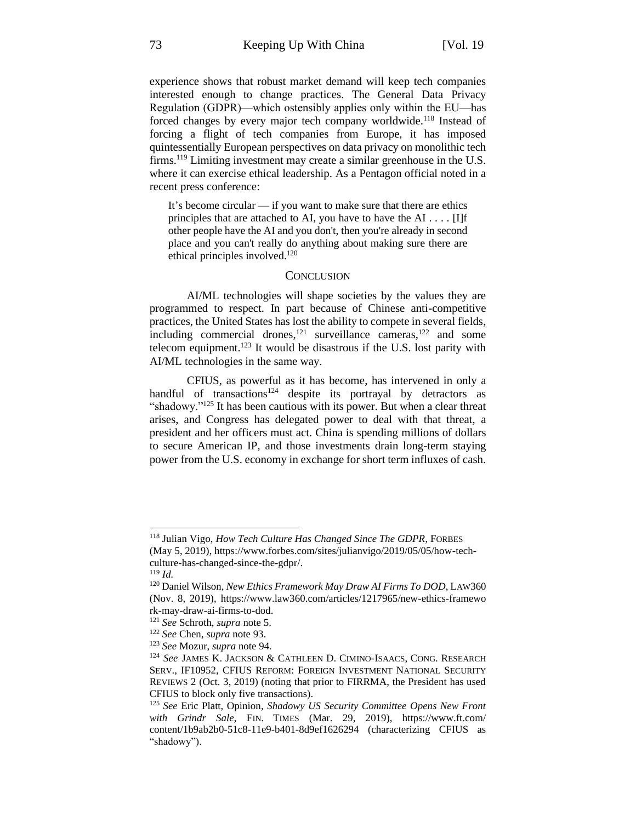experience shows that robust market demand will keep tech companies interested enough to change practices. The General Data Privacy Regulation (GDPR)—which ostensibly applies only within the EU—has forced changes by every major tech company worldwide.<sup>118</sup> Instead of forcing a flight of tech companies from Europe, it has imposed quintessentially European perspectives on data privacy on monolithic tech firms.<sup>119</sup> Limiting investment may create a similar greenhouse in the U.S. where it can exercise ethical leadership. As a Pentagon official noted in a recent press conference:

It's become circular — if you want to make sure that there are ethics principles that are attached to AI, you have to have the AI  $\dots$  [I]f other people have the AI and you don't, then you're already in second place and you can't really do anything about making sure there are ethical principles involved.<sup>120</sup>

#### **CONCLUSION**

AI/ML technologies will shape societies by the values they are programmed to respect. In part because of Chinese anti-competitive practices, the United States has lost the ability to compete in several fields, including commercial drones,<sup>121</sup> surveillance cameras,<sup>122</sup> and some telecom equipment.<sup>123</sup> It would be disastrous if the U.S. lost parity with AI/ML technologies in the same way.

CFIUS, as powerful as it has become, has intervened in only a handful of transactions<sup>124</sup> despite its portrayal by detractors as "shadowy."<sup>125</sup> It has been cautious with its power. But when a clear threat arises, and Congress has delegated power to deal with that threat, a president and her officers must act. China is spending millions of dollars to secure American IP, and those investments drain long-term staying power from the U.S. economy in exchange for short term influxes of cash.

<sup>118</sup> Julian Vigo, *How Tech Culture Has Changed Since The GDPR*, FORBES (May 5, 2019), [https://www.forbes.com/sites/julianvigo/2019/05/05/how-tech](https://www.forbes.com/sites/julianvigo/2019/05/05/how-tech-culture-has-changed-since-the-gdpr/)[culture-has-changed-since-the-gdpr/.](https://www.forbes.com/sites/julianvigo/2019/05/05/how-tech-culture-has-changed-since-the-gdpr/)

<sup>119</sup> *Id.*

<sup>120</sup> Daniel Wilson, *New Ethics Framework May Draw AI Firms To DOD*, LAW360 (Nov. 8, 2019), [https://www.law360.com/articles/1217965/new-ethics-framewo](https://www.law360.com/articles/1217965/new-ethics-framewo%20rk-may-draw-ai-firms-to-dod) [rk-may-draw-ai-firms-to-dod.](https://www.law360.com/articles/1217965/new-ethics-framewo%20rk-may-draw-ai-firms-to-dod)

<sup>121</sup> *See* Schroth, *supra* not[e 5.](#page-1-1)

<sup>122</sup> *See* Chen, *supra* not[e 93.](#page-10-0)

<sup>123</sup> *See* Mozur, *supra* note [94.](#page-10-1)

<sup>124</sup> *See* JAMES K. JACKSON & CATHLEEN D. CIMINO-ISAACS, CONG. RESEARCH SERV., IF10952, CFIUS REFORM: FOREIGN INVESTMENT NATIONAL SECURITY REVIEWS 2 (Oct. 3, 2019) (noting that prior to FIRRMA, the President has used CFIUS to block only five transactions).

<sup>125</sup> *See* Eric Platt, Opinion*, Shadowy US Security Committee Opens New Front with Grindr Sale*, FIN. TIMES (Mar. 29, 2019), [https://www.ft.com/](https://www.ft.com/%20content/1b9ab2b0-51c8-11e9-b401-8d9ef1626294)  [content/1b9ab2b0-51c8-11e9-b401-8d9ef1626294](https://www.ft.com/%20content/1b9ab2b0-51c8-11e9-b401-8d9ef1626294) (characterizing CFIUS as "shadowy").